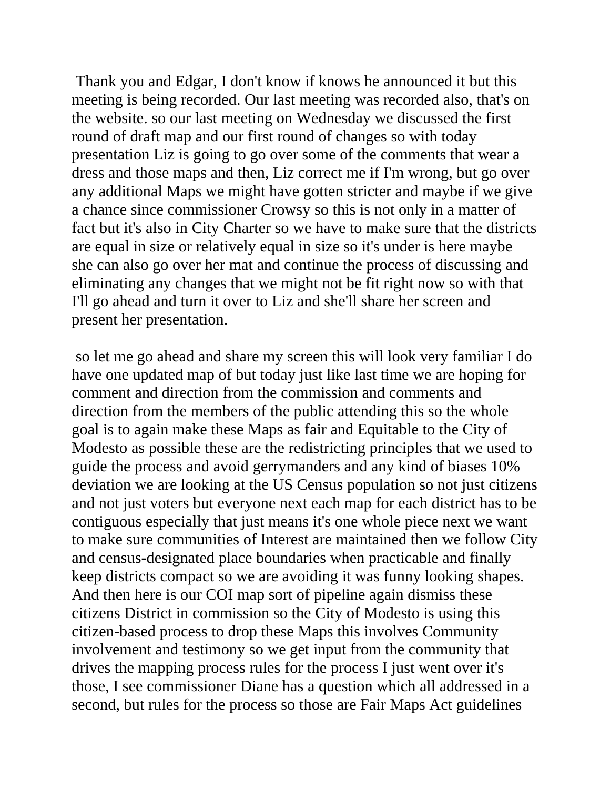Thank you and Edgar, I don't know if knows he announced it but this meeting is being recorded. Our last meeting was recorded also, that's on the website. so our last meeting on Wednesday we discussed the first round of draft map and our first round of changes so with today presentation Liz is going to go over some of the comments that wear a dress and those maps and then, Liz correct me if I'm wrong, but go over any additional Maps we might have gotten stricter and maybe if we give a chance since commissioner Crowsy so this is not only in a matter of fact but it's also in City Charter so we have to make sure that the districts are equal in size or relatively equal in size so it's under is here maybe she can also go over her mat and continue the process of discussing and eliminating any changes that we might not be fit right now so with that I'll go ahead and turn it over to Liz and she'll share her screen and present her presentation.

so let me go ahead and share my screen this will look very familiar I do have one updated map of but today just like last time we are hoping for comment and direction from the commission and comments and direction from the members of the public attending this so the whole goal is to again make these Maps as fair and Equitable to the City of Modesto as possible these are the redistricting principles that we used to guide the process and avoid gerrymanders and any kind of biases 10% deviation we are looking at the US Census population so not just citizens and not just voters but everyone next each map for each district has to be contiguous especially that just means it's one whole piece next we want to make sure communities of Interest are maintained then we follow City and census-designated place boundaries when practicable and finally keep districts compact so we are avoiding it was funny looking shapes. And then here is our COI map sort of pipeline again dismiss these citizens District in commission so the City of Modesto is using this citizen-based process to drop these Maps this involves Community involvement and testimony so we get input from the community that drives the mapping process rules for the process I just went over it's those, I see commissioner Diane has a question which all addressed in a second, but rules for the process so those are Fair Maps Act guidelines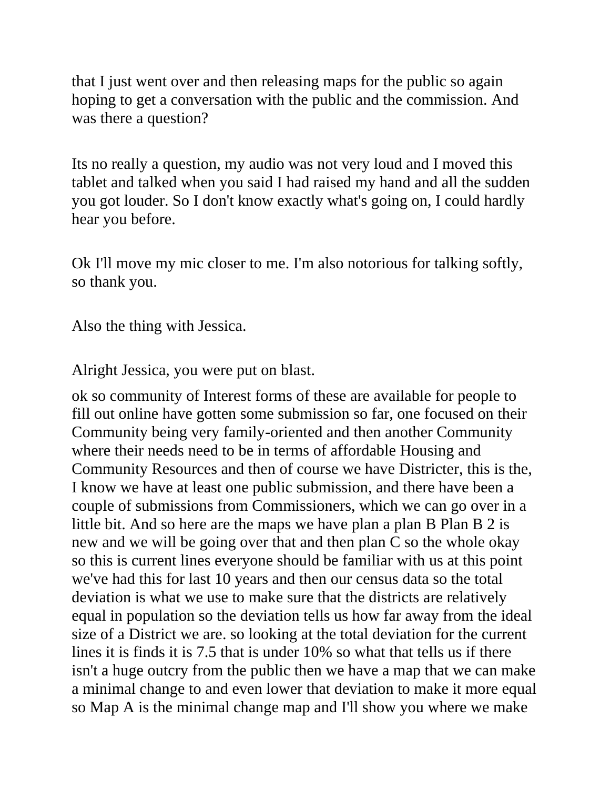that I just went over and then releasing maps for the public so again hoping to get a conversation with the public and the commission. And was there a question?

Its no really a question, my audio was not very loud and I moved this tablet and talked when you said I had raised my hand and all the sudden you got louder. So I don't know exactly what's going on, I could hardly hear you before.

Ok I'll move my mic closer to me. I'm also notorious for talking softly, so thank you.

Also the thing with Jessica.

Alright Jessica, you were put on blast.

ok so community of Interest forms of these are available for people to fill out online have gotten some submission so far, one focused on their Community being very family-oriented and then another Community where their needs need to be in terms of affordable Housing and Community Resources and then of course we have Districter, this is the, I know we have at least one public submission, and there have been a couple of submissions from Commissioners, which we can go over in a little bit. And so here are the maps we have plan a plan B Plan B 2 is new and we will be going over that and then plan C so the whole okay so this is current lines everyone should be familiar with us at this point we've had this for last 10 years and then our census data so the total deviation is what we use to make sure that the districts are relatively equal in population so the deviation tells us how far away from the ideal size of a District we are. so looking at the total deviation for the current lines it is finds it is 7.5 that is under 10% so what that tells us if there isn't a huge outcry from the public then we have a map that we can make a minimal change to and even lower that deviation to make it more equal so Map A is the minimal change map and I'll show you where we make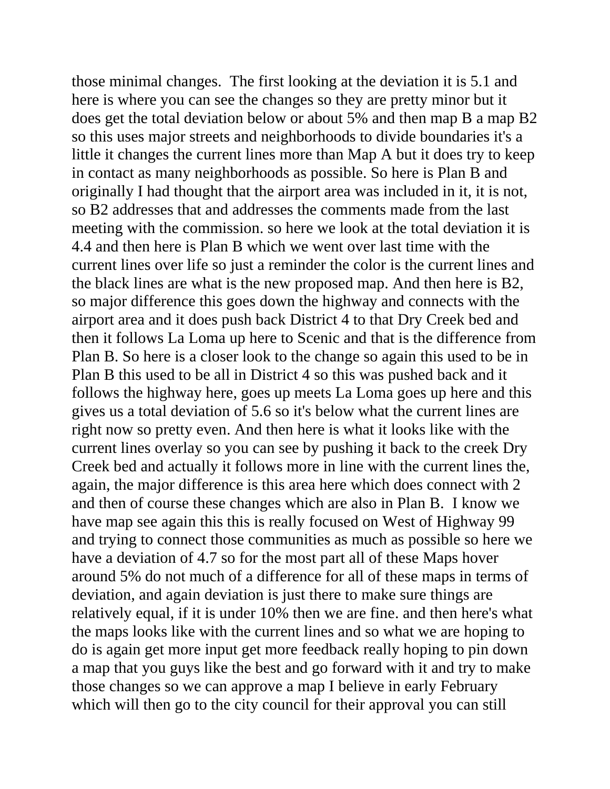those minimal changes. The first looking at the deviation it is 5.1 and here is where you can see the changes so they are pretty minor but it does get the total deviation below or about 5% and then map B a map B2 so this uses major streets and neighborhoods to divide boundaries it's a little it changes the current lines more than Map A but it does try to keep in contact as many neighborhoods as possible. So here is Plan B and originally I had thought that the airport area was included in it, it is not, so B2 addresses that and addresses the comments made from the last meeting with the commission. so here we look at the total deviation it is 4.4 and then here is Plan B which we went over last time with the current lines over life so just a reminder the color is the current lines and the black lines are what is the new proposed map. And then here is B2, so major difference this goes down the highway and connects with the airport area and it does push back District 4 to that Dry Creek bed and then it follows La Loma up here to Scenic and that is the difference from Plan B. So here is a closer look to the change so again this used to be in Plan B this used to be all in District 4 so this was pushed back and it follows the highway here, goes up meets La Loma goes up here and this gives us a total deviation of 5.6 so it's below what the current lines are right now so pretty even. And then here is what it looks like with the current lines overlay so you can see by pushing it back to the creek Dry Creek bed and actually it follows more in line with the current lines the, again, the major difference is this area here which does connect with 2 and then of course these changes which are also in Plan B. I know we have map see again this this is really focused on West of Highway 99 and trying to connect those communities as much as possible so here we have a deviation of 4.7 so for the most part all of these Maps hover around 5% do not much of a difference for all of these maps in terms of deviation, and again deviation is just there to make sure things are relatively equal, if it is under 10% then we are fine. and then here's what the maps looks like with the current lines and so what we are hoping to do is again get more input get more feedback really hoping to pin down a map that you guys like the best and go forward with it and try to make those changes so we can approve a map I believe in early February which will then go to the city council for their approval you can still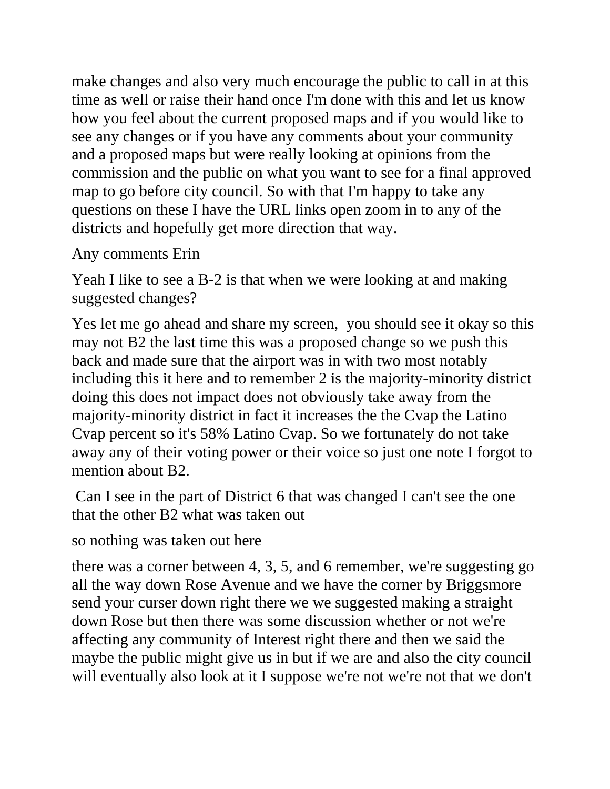make changes and also very much encourage the public to call in at this time as well or raise their hand once I'm done with this and let us know how you feel about the current proposed maps and if you would like to see any changes or if you have any comments about your community and a proposed maps but were really looking at opinions from the commission and the public on what you want to see for a final approved map to go before city council. So with that I'm happy to take any questions on these I have the URL links open zoom in to any of the districts and hopefully get more direction that way.

Any comments Erin

Yeah I like to see a B-2 is that when we were looking at and making suggested changes?

Yes let me go ahead and share my screen, you should see it okay so this may not B2 the last time this was a proposed change so we push this back and made sure that the airport was in with two most notably including this it here and to remember 2 is the majority-minority district doing this does not impact does not obviously take away from the majority-minority district in fact it increases the the Cvap the Latino Cvap percent so it's 58% Latino Cvap. So we fortunately do not take away any of their voting power or their voice so just one note I forgot to mention about B2.

Can I see in the part of District 6 that was changed I can't see the one that the other B2 what was taken out

so nothing was taken out here

there was a corner between 4, 3, 5, and 6 remember, we're suggesting go all the way down Rose Avenue and we have the corner by Briggsmore send your curser down right there we we suggested making a straight down Rose but then there was some discussion whether or not we're affecting any community of Interest right there and then we said the maybe the public might give us in but if we are and also the city council will eventually also look at it I suppose we're not we're not that we don't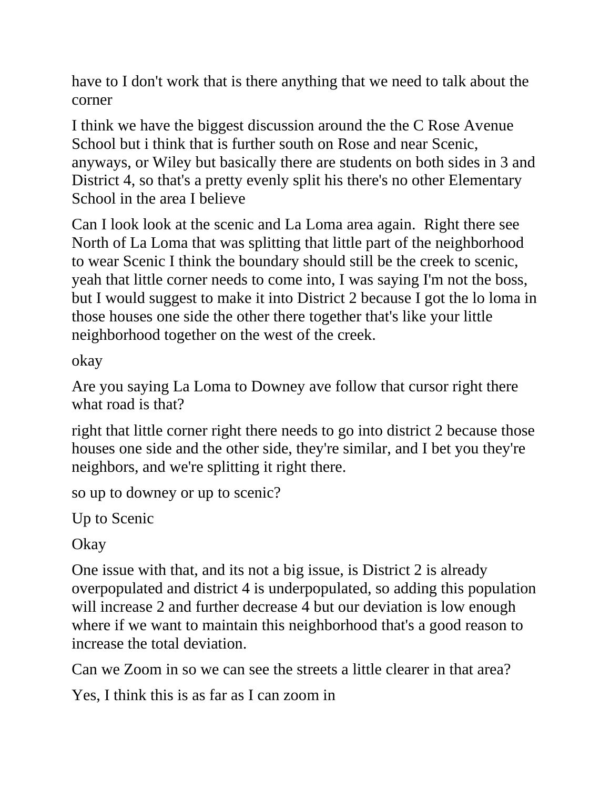have to I don't work that is there anything that we need to talk about the corner

I think we have the biggest discussion around the the C Rose Avenue School but i think that is further south on Rose and near Scenic, anyways, or Wiley but basically there are students on both sides in 3 and District 4, so that's a pretty evenly split his there's no other Elementary School in the area I believe

Can I look look at the scenic and La Loma area again. Right there see North of La Loma that was splitting that little part of the neighborhood to wear Scenic I think the boundary should still be the creek to scenic, yeah that little corner needs to come into, I was saying I'm not the boss, but I would suggest to make it into District 2 because I got the lo loma in those houses one side the other there together that's like your little neighborhood together on the west of the creek.

okay

Are you saying La Loma to Downey ave follow that cursor right there what road is that?

right that little corner right there needs to go into district 2 because those houses one side and the other side, they're similar, and I bet you they're neighbors, and we're splitting it right there.

so up to downey or up to scenic?

Up to Scenic

Okay

One issue with that, and its not a big issue, is District 2 is already overpopulated and district 4 is underpopulated, so adding this population will increase 2 and further decrease 4 but our deviation is low enough where if we want to maintain this neighborhood that's a good reason to increase the total deviation.

Can we Zoom in so we can see the streets a little clearer in that area?

Yes, I think this is as far as I can zoom in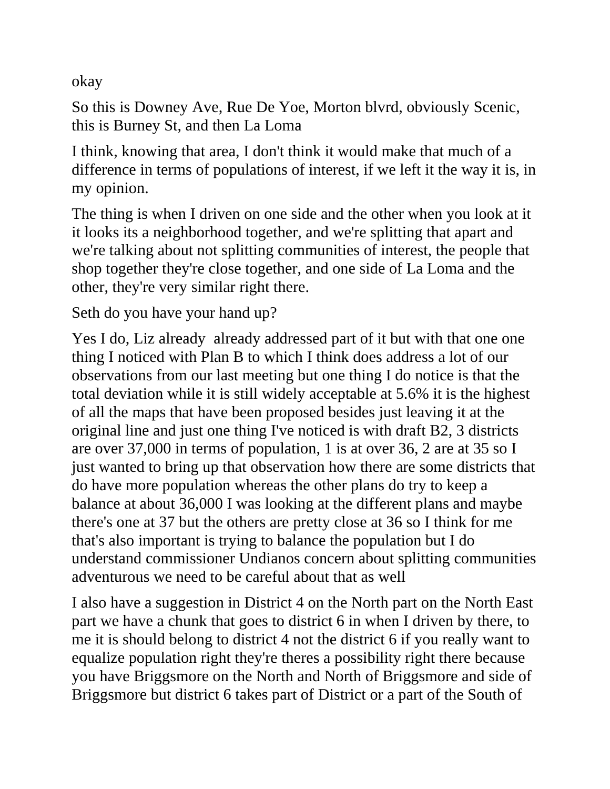okay

So this is Downey Ave, Rue De Yoe, Morton blvrd, obviously Scenic, this is Burney St, and then La Loma

I think, knowing that area, I don't think it would make that much of a difference in terms of populations of interest, if we left it the way it is, in my opinion.

The thing is when I driven on one side and the other when you look at it it looks its a neighborhood together, and we're splitting that apart and we're talking about not splitting communities of interest, the people that shop together they're close together, and one side of La Loma and the other, they're very similar right there.

Seth do you have your hand up?

Yes I do, Liz already already addressed part of it but with that one one thing I noticed with Plan B to which I think does address a lot of our observations from our last meeting but one thing I do notice is that the total deviation while it is still widely acceptable at 5.6% it is the highest of all the maps that have been proposed besides just leaving it at the original line and just one thing I've noticed is with draft B2, 3 districts are over 37,000 in terms of population, 1 is at over 36, 2 are at 35 so I just wanted to bring up that observation how there are some districts that do have more population whereas the other plans do try to keep a balance at about 36,000 I was looking at the different plans and maybe there's one at 37 but the others are pretty close at 36 so I think for me that's also important is trying to balance the population but I do understand commissioner Undianos concern about splitting communities adventurous we need to be careful about that as well

I also have a suggestion in District 4 on the North part on the North East part we have a chunk that goes to district 6 in when I driven by there, to me it is should belong to district 4 not the district 6 if you really want to equalize population right they're theres a possibility right there because you have Briggsmore on the North and North of Briggsmore and side of Briggsmore but district 6 takes part of District or a part of the South of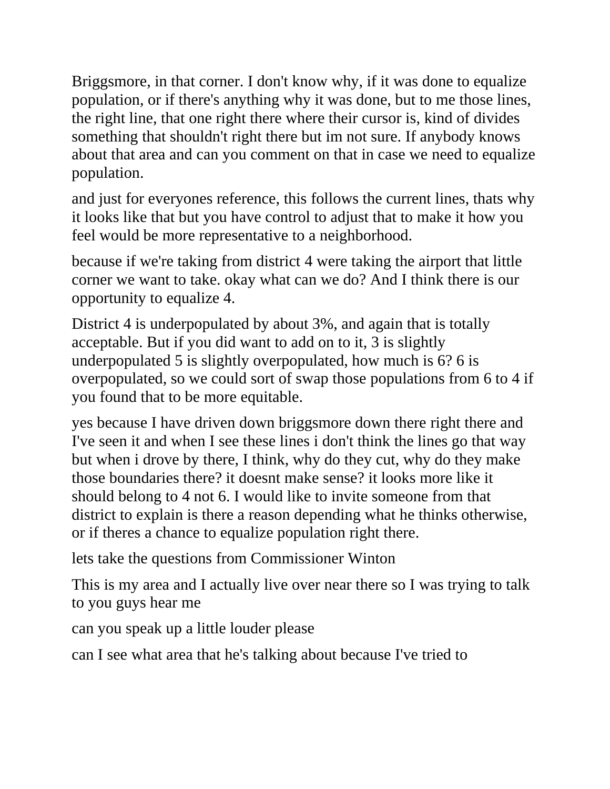Briggsmore, in that corner. I don't know why, if it was done to equalize population, or if there's anything why it was done, but to me those lines, the right line, that one right there where their cursor is, kind of divides something that shouldn't right there but im not sure. If anybody knows about that area and can you comment on that in case we need to equalize population.

and just for everyones reference, this follows the current lines, thats why it looks like that but you have control to adjust that to make it how you feel would be more representative to a neighborhood.

because if we're taking from district 4 were taking the airport that little corner we want to take. okay what can we do? And I think there is our opportunity to equalize 4.

District 4 is underpopulated by about 3%, and again that is totally acceptable. But if you did want to add on to it, 3 is slightly underpopulated 5 is slightly overpopulated, how much is 6? 6 is overpopulated, so we could sort of swap those populations from 6 to 4 if you found that to be more equitable.

yes because I have driven down briggsmore down there right there and I've seen it and when I see these lines i don't think the lines go that way but when i drove by there, I think, why do they cut, why do they make those boundaries there? it doesnt make sense? it looks more like it should belong to 4 not 6. I would like to invite someone from that district to explain is there a reason depending what he thinks otherwise, or if theres a chance to equalize population right there.

lets take the questions from Commissioner Winton

This is my area and I actually live over near there so I was trying to talk to you guys hear me

can you speak up a little louder please

can I see what area that he's talking about because I've tried to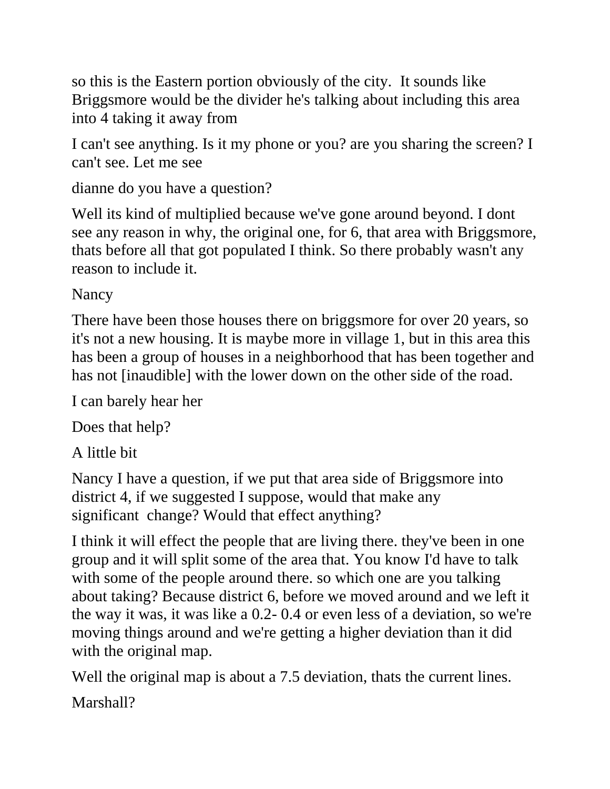so this is the Eastern portion obviously of the city. It sounds like Briggsmore would be the divider he's talking about including this area into 4 taking it away from

I can't see anything. Is it my phone or you? are you sharing the screen? I can't see. Let me see

dianne do you have a question?

Well its kind of multiplied because we've gone around beyond. I dont see any reason in why, the original one, for 6, that area with Briggsmore, thats before all that got populated I think. So there probably wasn't any reason to include it.

Nancy

There have been those houses there on briggsmore for over 20 years, so it's not a new housing. It is maybe more in village 1, but in this area this has been a group of houses in a neighborhood that has been together and has not [inaudible] with the lower down on the other side of the road.

I can barely hear her

Does that help?

A little bit

Nancy I have a question, if we put that area side of Briggsmore into district 4, if we suggested I suppose, would that make any significant change? Would that effect anything?

I think it will effect the people that are living there. they've been in one group and it will split some of the area that. You know I'd have to talk with some of the people around there. so which one are you talking about taking? Because district 6, before we moved around and we left it the way it was, it was like a 0.2- 0.4 or even less of a deviation, so we're moving things around and we're getting a higher deviation than it did with the original map.

Well the original map is about a 7.5 deviation, thats the current lines.

Marshall?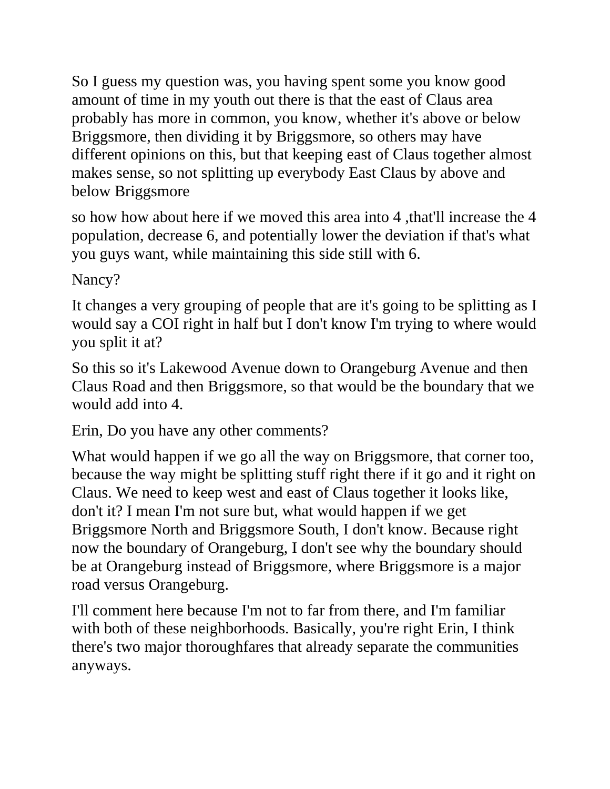So I guess my question was, you having spent some you know good amount of time in my youth out there is that the east of Claus area probably has more in common, you know, whether it's above or below Briggsmore, then dividing it by Briggsmore, so others may have different opinions on this, but that keeping east of Claus together almost makes sense, so not splitting up everybody East Claus by above and below Briggsmore

so how how about here if we moved this area into 4 ,that'll increase the 4 population, decrease 6, and potentially lower the deviation if that's what you guys want, while maintaining this side still with 6.

Nancy?

It changes a very grouping of people that are it's going to be splitting as I would say a COI right in half but I don't know I'm trying to where would you split it at?

So this so it's Lakewood Avenue down to Orangeburg Avenue and then Claus Road and then Briggsmore, so that would be the boundary that we would add into 4.

Erin, Do you have any other comments?

What would happen if we go all the way on Briggsmore, that corner too, because the way might be splitting stuff right there if it go and it right on Claus. We need to keep west and east of Claus together it looks like, don't it? I mean I'm not sure but, what would happen if we get Briggsmore North and Briggsmore South, I don't know. Because right now the boundary of Orangeburg, I don't see why the boundary should be at Orangeburg instead of Briggsmore, where Briggsmore is a major road versus Orangeburg.

I'll comment here because I'm not to far from there, and I'm familiar with both of these neighborhoods. Basically, you're right Erin, I think there's two major thoroughfares that already separate the communities anyways.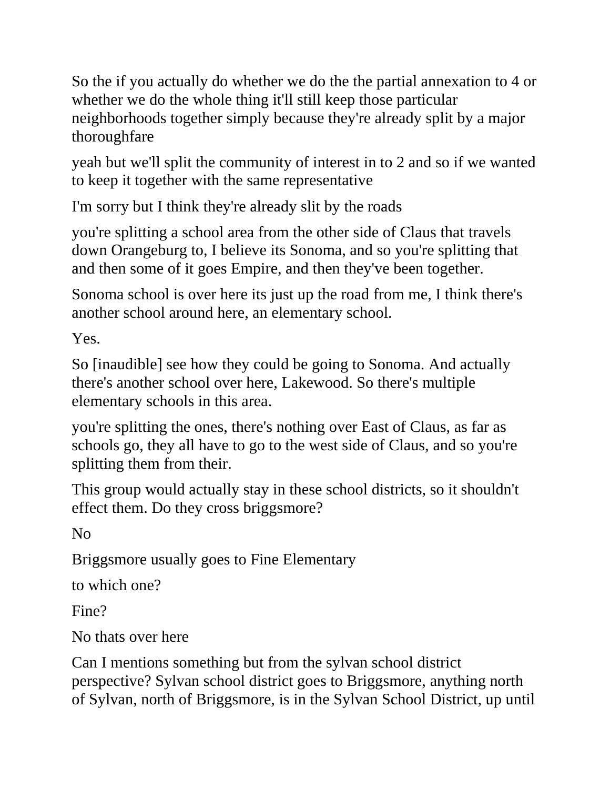So the if you actually do whether we do the the partial annexation to 4 or whether we do the whole thing it'll still keep those particular neighborhoods together simply because they're already split by a major thoroughfare

yeah but we'll split the community of interest in to 2 and so if we wanted to keep it together with the same representative

I'm sorry but I think they're already slit by the roads

you're splitting a school area from the other side of Claus that travels down Orangeburg to, I believe its Sonoma, and so you're splitting that and then some of it goes Empire, and then they've been together.

Sonoma school is over here its just up the road from me, I think there's another school around here, an elementary school.

Yes.

So [inaudible] see how they could be going to Sonoma. And actually there's another school over here, Lakewood. So there's multiple elementary schools in this area.

you're splitting the ones, there's nothing over East of Claus, as far as schools go, they all have to go to the west side of Claus, and so you're splitting them from their.

This group would actually stay in these school districts, so it shouldn't effect them. Do they cross briggsmore?

No

Briggsmore usually goes to Fine Elementary

to which one?

Fine?

No thats over here

Can I mentions something but from the sylvan school district perspective? Sylvan school district goes to Briggsmore, anything north of Sylvan, north of Briggsmore, is in the Sylvan School District, up until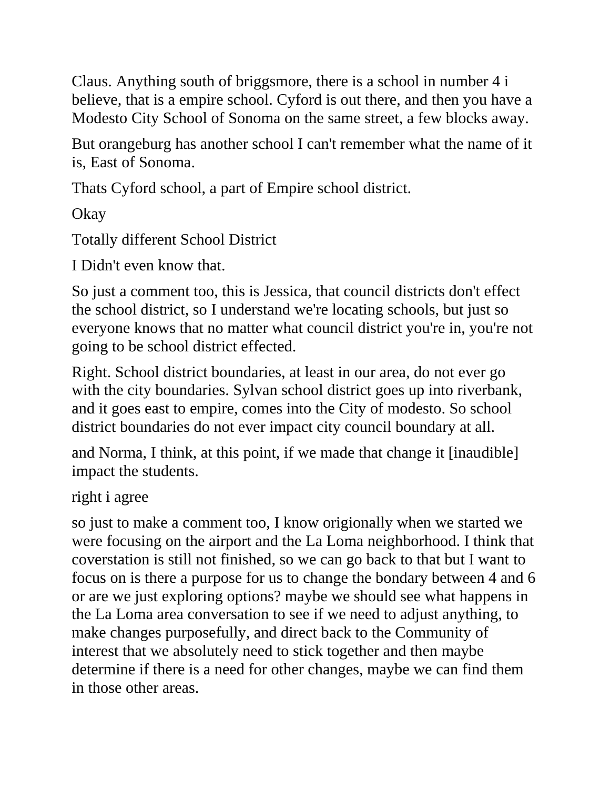Claus. Anything south of briggsmore, there is a school in number 4 i believe, that is a empire school. Cyford is out there, and then you have a Modesto City School of Sonoma on the same street, a few blocks away.

But orangeburg has another school I can't remember what the name of it is, East of Sonoma.

Thats Cyford school, a part of Empire school district.

Okay

Totally different School District

I Didn't even know that.

So just a comment too, this is Jessica, that council districts don't effect the school district, so I understand we're locating schools, but just so everyone knows that no matter what council district you're in, you're not going to be school district effected.

Right. School district boundaries, at least in our area, do not ever go with the city boundaries. Sylvan school district goes up into riverbank, and it goes east to empire, comes into the City of modesto. So school district boundaries do not ever impact city council boundary at all.

and Norma, I think, at this point, if we made that change it [inaudible] impact the students.

right i agree

so just to make a comment too, I know origionally when we started we were focusing on the airport and the La Loma neighborhood. I think that coverstation is still not finished, so we can go back to that but I want to focus on is there a purpose for us to change the bondary between 4 and 6 or are we just exploring options? maybe we should see what happens in the La Loma area conversation to see if we need to adjust anything, to make changes purposefully, and direct back to the Community of interest that we absolutely need to stick together and then maybe determine if there is a need for other changes, maybe we can find them in those other areas.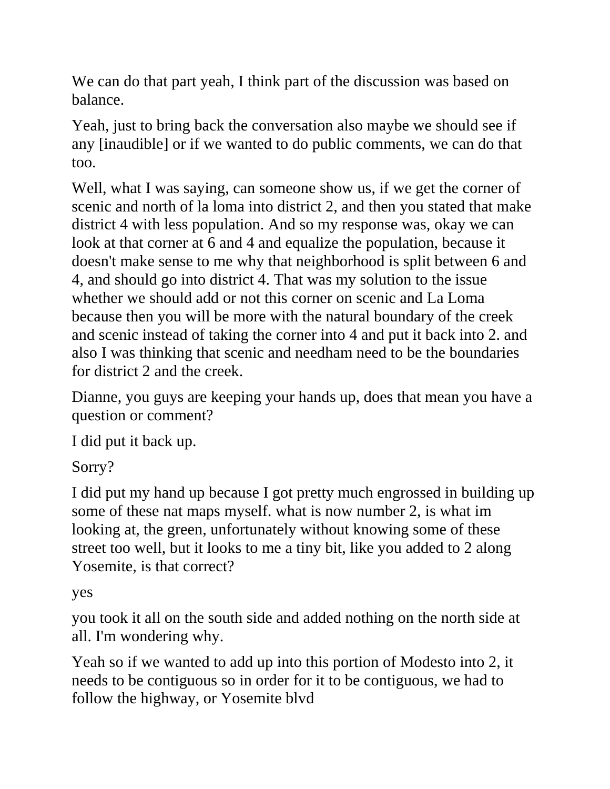We can do that part yeah, I think part of the discussion was based on balance.

Yeah, just to bring back the conversation also maybe we should see if any [inaudible] or if we wanted to do public comments, we can do that too.

Well, what I was saying, can someone show us, if we get the corner of scenic and north of la loma into district 2, and then you stated that make district 4 with less population. And so my response was, okay we can look at that corner at 6 and 4 and equalize the population, because it doesn't make sense to me why that neighborhood is split between 6 and 4, and should go into district 4. That was my solution to the issue whether we should add or not this corner on scenic and La Loma because then you will be more with the natural boundary of the creek and scenic instead of taking the corner into 4 and put it back into 2. and also I was thinking that scenic and needham need to be the boundaries for district 2 and the creek.

Dianne, you guys are keeping your hands up, does that mean you have a question or comment?

I did put it back up.

Sorry?

I did put my hand up because I got pretty much engrossed in building up some of these nat maps myself. what is now number 2, is what im looking at, the green, unfortunately without knowing some of these street too well, but it looks to me a tiny bit, like you added to 2 along Yosemite, is that correct?

yes

you took it all on the south side and added nothing on the north side at all. I'm wondering why.

Yeah so if we wanted to add up into this portion of Modesto into 2, it needs to be contiguous so in order for it to be contiguous, we had to follow the highway, or Yosemite blvd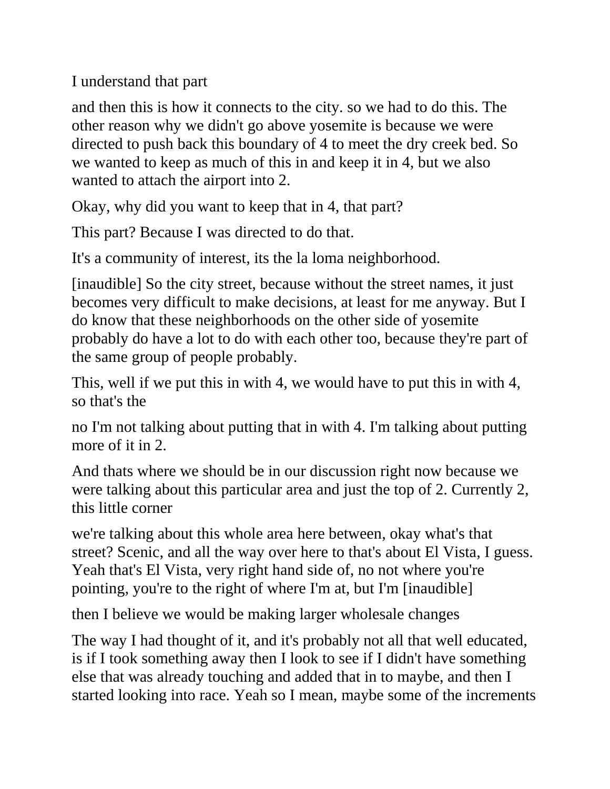I understand that part

and then this is how it connects to the city. so we had to do this. The other reason why we didn't go above yosemite is because we were directed to push back this boundary of 4 to meet the dry creek bed. So we wanted to keep as much of this in and keep it in 4, but we also wanted to attach the airport into 2.

Okay, why did you want to keep that in 4, that part?

This part? Because I was directed to do that.

It's a community of interest, its the la loma neighborhood.

[inaudible] So the city street, because without the street names, it just becomes very difficult to make decisions, at least for me anyway. But I do know that these neighborhoods on the other side of yosemite probably do have a lot to do with each other too, because they're part of the same group of people probably.

This, well if we put this in with 4, we would have to put this in with 4, so that's the

no I'm not talking about putting that in with 4. I'm talking about putting more of it in 2.

And thats where we should be in our discussion right now because we were talking about this particular area and just the top of 2. Currently 2, this little corner

we're talking about this whole area here between, okay what's that street? Scenic, and all the way over here to that's about El Vista, I guess. Yeah that's El Vista, very right hand side of, no not where you're pointing, you're to the right of where I'm at, but I'm [inaudible]

then I believe we would be making larger wholesale changes

The way I had thought of it, and it's probably not all that well educated, is if I took something away then I look to see if I didn't have something else that was already touching and added that in to maybe, and then I started looking into race. Yeah so I mean, maybe some of the increments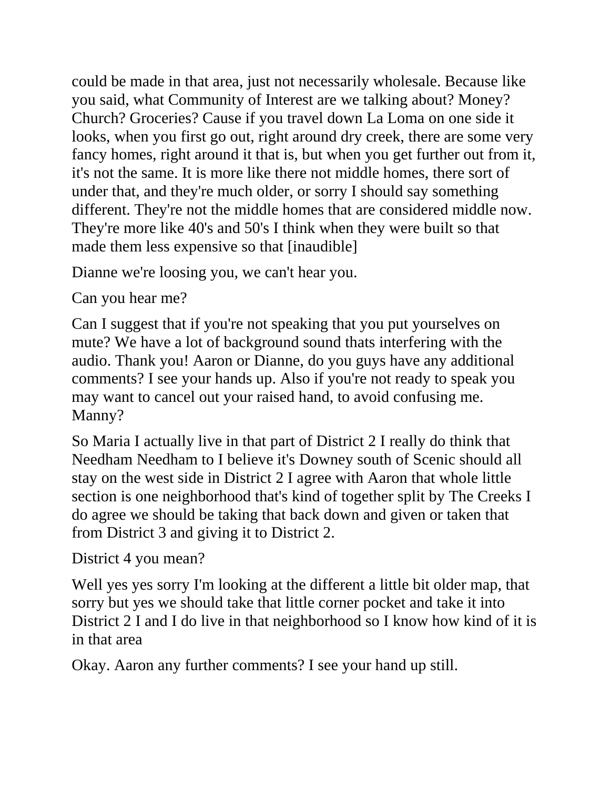could be made in that area, just not necessarily wholesale. Because like you said, what Community of Interest are we talking about? Money? Church? Groceries? Cause if you travel down La Loma on one side it looks, when you first go out, right around dry creek, there are some very fancy homes, right around it that is, but when you get further out from it, it's not the same. It is more like there not middle homes, there sort of under that, and they're much older, or sorry I should say something different. They're not the middle homes that are considered middle now. They're more like 40's and 50's I think when they were built so that made them less expensive so that [inaudible]

Dianne we're loosing you, we can't hear you.

Can you hear me?

Can I suggest that if you're not speaking that you put yourselves on mute? We have a lot of background sound thats interfering with the audio. Thank you! Aaron or Dianne, do you guys have any additional comments? I see your hands up. Also if you're not ready to speak you may want to cancel out your raised hand, to avoid confusing me. Manny?

So Maria I actually live in that part of District 2 I really do think that Needham Needham to I believe it's Downey south of Scenic should all stay on the west side in District 2 I agree with Aaron that whole little section is one neighborhood that's kind of together split by The Creeks I do agree we should be taking that back down and given or taken that from District 3 and giving it to District 2.

District 4 you mean?

Well yes yes sorry I'm looking at the different a little bit older map, that sorry but yes we should take that little corner pocket and take it into District 2 I and I do live in that neighborhood so I know how kind of it is in that area

Okay. Aaron any further comments? I see your hand up still.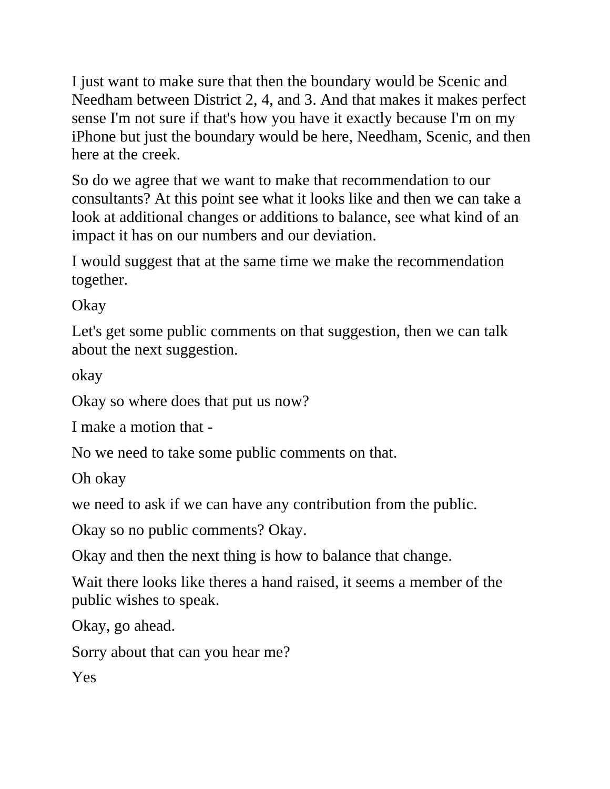I just want to make sure that then the boundary would be Scenic and Needham between District 2, 4, and 3. And that makes it makes perfect sense I'm not sure if that's how you have it exactly because I'm on my iPhone but just the boundary would be here, Needham, Scenic, and then here at the creek.

So do we agree that we want to make that recommendation to our consultants? At this point see what it looks like and then we can take a look at additional changes or additions to balance, see what kind of an impact it has on our numbers and our deviation.

I would suggest that at the same time we make the recommendation together.

Okay

Let's get some public comments on that suggestion, then we can talk about the next suggestion.

okay

Okay so where does that put us now?

I make a motion that -

No we need to take some public comments on that.

Oh okay

we need to ask if we can have any contribution from the public.

Okay so no public comments? Okay.

Okay and then the next thing is how to balance that change.

Wait there looks like theres a hand raised, it seems a member of the public wishes to speak.

Okay, go ahead.

Sorry about that can you hear me?

Yes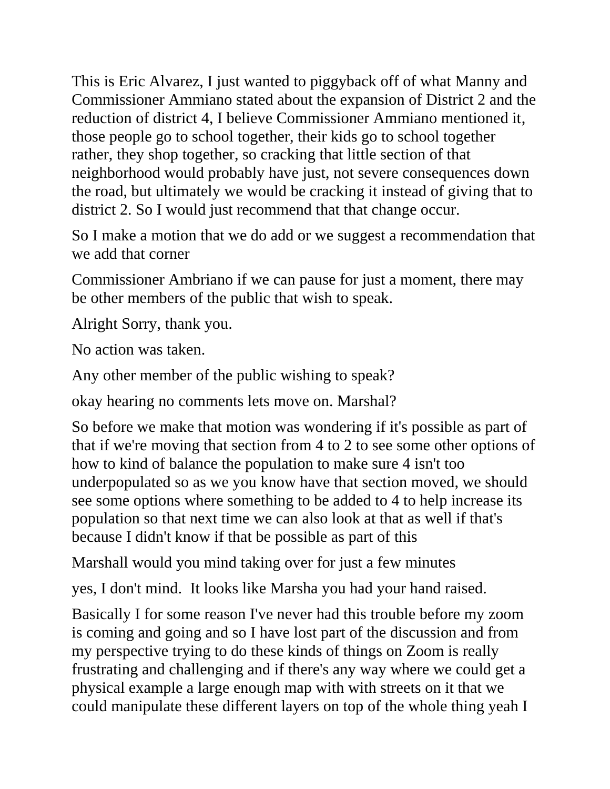This is Eric Alvarez, I just wanted to piggyback off of what Manny and Commissioner Ammiano stated about the expansion of District 2 and the reduction of district 4, I believe Commissioner Ammiano mentioned it, those people go to school together, their kids go to school together rather, they shop together, so cracking that little section of that neighborhood would probably have just, not severe consequences down the road, but ultimately we would be cracking it instead of giving that to district 2. So I would just recommend that that change occur.

So I make a motion that we do add or we suggest a recommendation that we add that corner

Commissioner Ambriano if we can pause for just a moment, there may be other members of the public that wish to speak.

Alright Sorry, thank you.

No action was taken.

Any other member of the public wishing to speak?

okay hearing no comments lets move on. Marshal?

So before we make that motion was wondering if it's possible as part of that if we're moving that section from 4 to 2 to see some other options of how to kind of balance the population to make sure 4 isn't too underpopulated so as we you know have that section moved, we should see some options where something to be added to 4 to help increase its population so that next time we can also look at that as well if that's because I didn't know if that be possible as part of this

Marshall would you mind taking over for just a few minutes

yes, I don't mind. It looks like Marsha you had your hand raised.

Basically I for some reason I've never had this trouble before my zoom is coming and going and so I have lost part of the discussion and from my perspective trying to do these kinds of things on Zoom is really frustrating and challenging and if there's any way where we could get a physical example a large enough map with with streets on it that we could manipulate these different layers on top of the whole thing yeah I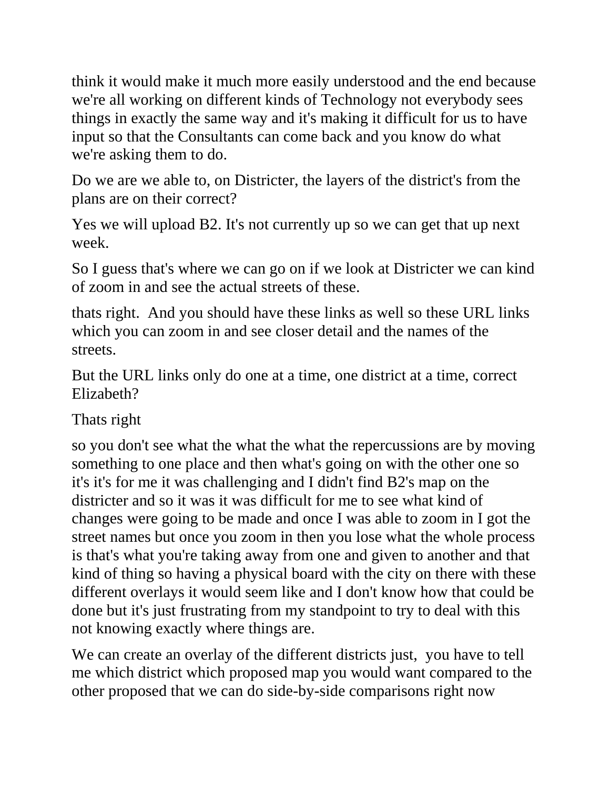think it would make it much more easily understood and the end because we're all working on different kinds of Technology not everybody sees things in exactly the same way and it's making it difficult for us to have input so that the Consultants can come back and you know do what we're asking them to do.

Do we are we able to, on Districter, the layers of the district's from the plans are on their correct?

Yes we will upload B2. It's not currently up so we can get that up next week.

So I guess that's where we can go on if we look at Districter we can kind of zoom in and see the actual streets of these.

thats right. And you should have these links as well so these URL links which you can zoom in and see closer detail and the names of the streets.

But the URL links only do one at a time, one district at a time, correct Elizabeth?

Thats right

so you don't see what the what the what the repercussions are by moving something to one place and then what's going on with the other one so it's it's for me it was challenging and I didn't find B2's map on the districter and so it was it was difficult for me to see what kind of changes were going to be made and once I was able to zoom in I got the street names but once you zoom in then you lose what the whole process is that's what you're taking away from one and given to another and that kind of thing so having a physical board with the city on there with these different overlays it would seem like and I don't know how that could be done but it's just frustrating from my standpoint to try to deal with this not knowing exactly where things are.

We can create an overlay of the different districts just, you have to tell me which district which proposed map you would want compared to the other proposed that we can do side-by-side comparisons right now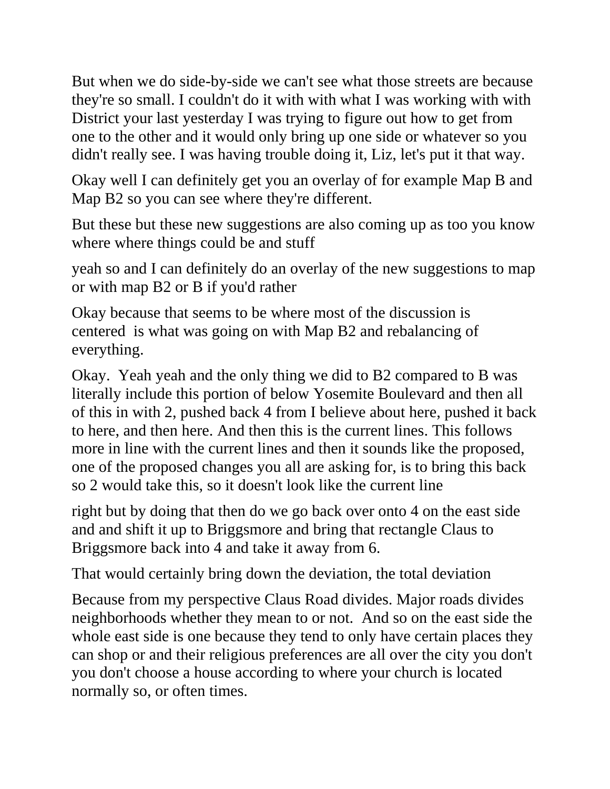But when we do side-by-side we can't see what those streets are because they're so small. I couldn't do it with with what I was working with with District your last yesterday I was trying to figure out how to get from one to the other and it would only bring up one side or whatever so you didn't really see. I was having trouble doing it, Liz, let's put it that way.

Okay well I can definitely get you an overlay of for example Map B and Map B2 so you can see where they're different.

But these but these new suggestions are also coming up as too you know where where things could be and stuff

yeah so and I can definitely do an overlay of the new suggestions to map or with map B2 or B if you'd rather

Okay because that seems to be where most of the discussion is centered is what was going on with Map B2 and rebalancing of everything.

Okay. Yeah yeah and the only thing we did to B2 compared to B was literally include this portion of below Yosemite Boulevard and then all of this in with 2, pushed back 4 from I believe about here, pushed it back to here, and then here. And then this is the current lines. This follows more in line with the current lines and then it sounds like the proposed, one of the proposed changes you all are asking for, is to bring this back so 2 would take this, so it doesn't look like the current line

right but by doing that then do we go back over onto 4 on the east side and and shift it up to Briggsmore and bring that rectangle Claus to Briggsmore back into 4 and take it away from 6.

That would certainly bring down the deviation, the total deviation

Because from my perspective Claus Road divides. Major roads divides neighborhoods whether they mean to or not. And so on the east side the whole east side is one because they tend to only have certain places they can shop or and their religious preferences are all over the city you don't you don't choose a house according to where your church is located normally so, or often times.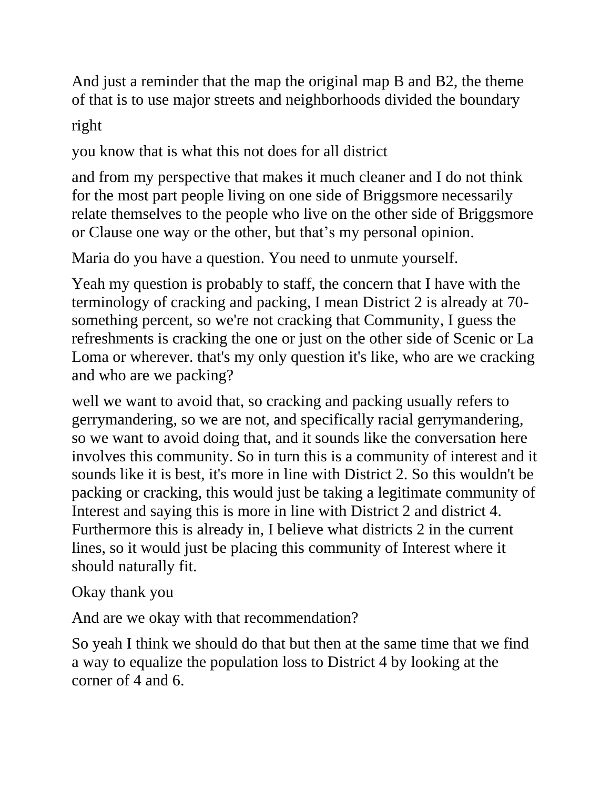And just a reminder that the map the original map B and B2, the theme of that is to use major streets and neighborhoods divided the boundary

right

you know that is what this not does for all district

and from my perspective that makes it much cleaner and I do not think for the most part people living on one side of Briggsmore necessarily relate themselves to the people who live on the other side of Briggsmore or Clause one way or the other, but that's my personal opinion.

Maria do you have a question. You need to unmute yourself.

Yeah my question is probably to staff, the concern that I have with the terminology of cracking and packing, I mean District 2 is already at 70 something percent, so we're not cracking that Community, I guess the refreshments is cracking the one or just on the other side of Scenic or La Loma or wherever. that's my only question it's like, who are we cracking and who are we packing?

well we want to avoid that, so cracking and packing usually refers to gerrymandering, so we are not, and specifically racial gerrymandering, so we want to avoid doing that, and it sounds like the conversation here involves this community. So in turn this is a community of interest and it sounds like it is best, it's more in line with District 2. So this wouldn't be packing or cracking, this would just be taking a legitimate community of Interest and saying this is more in line with District 2 and district 4. Furthermore this is already in, I believe what districts 2 in the current lines, so it would just be placing this community of Interest where it should naturally fit.

Okay thank you

And are we okay with that recommendation?

So yeah I think we should do that but then at the same time that we find a way to equalize the population loss to District 4 by looking at the corner of 4 and 6.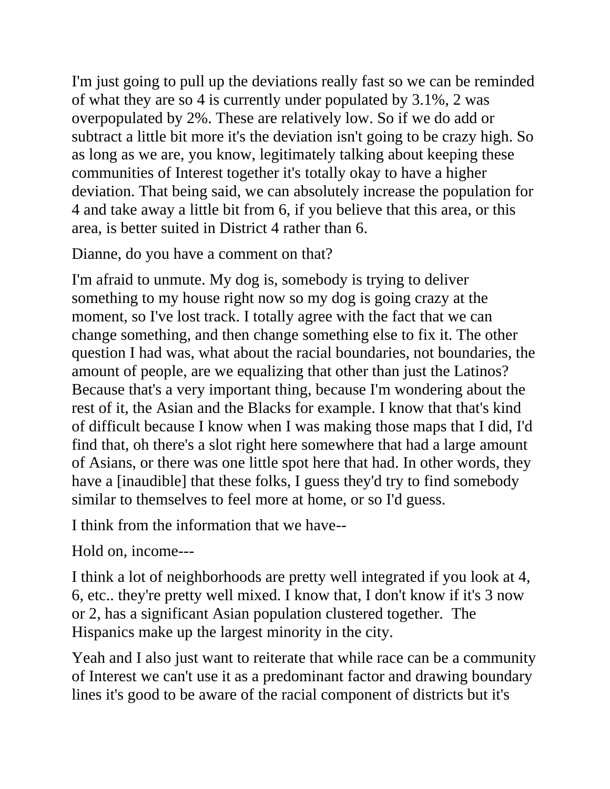I'm just going to pull up the deviations really fast so we can be reminded of what they are so 4 is currently under populated by 3.1%, 2 was overpopulated by 2%. These are relatively low. So if we do add or subtract a little bit more it's the deviation isn't going to be crazy high. So as long as we are, you know, legitimately talking about keeping these communities of Interest together it's totally okay to have a higher deviation. That being said, we can absolutely increase the population for 4 and take away a little bit from 6, if you believe that this area, or this area, is better suited in District 4 rather than 6.

Dianne, do you have a comment on that?

I'm afraid to unmute. My dog is, somebody is trying to deliver something to my house right now so my dog is going crazy at the moment, so I've lost track. I totally agree with the fact that we can change something, and then change something else to fix it. The other question I had was, what about the racial boundaries, not boundaries, the amount of people, are we equalizing that other than just the Latinos? Because that's a very important thing, because I'm wondering about the rest of it, the Asian and the Blacks for example. I know that that's kind of difficult because I know when I was making those maps that I did, I'd find that, oh there's a slot right here somewhere that had a large amount of Asians, or there was one little spot here that had. In other words, they have a [inaudible] that these folks, I guess they'd try to find somebody similar to themselves to feel more at home, or so I'd guess.

I think from the information that we have--

Hold on, income---

I think a lot of neighborhoods are pretty well integrated if you look at 4, 6, etc.. they're pretty well mixed. I know that, I don't know if it's 3 now or 2, has a significant Asian population clustered together. The Hispanics make up the largest minority in the city.

Yeah and I also just want to reiterate that while race can be a community of Interest we can't use it as a predominant factor and drawing boundary lines it's good to be aware of the racial component of districts but it's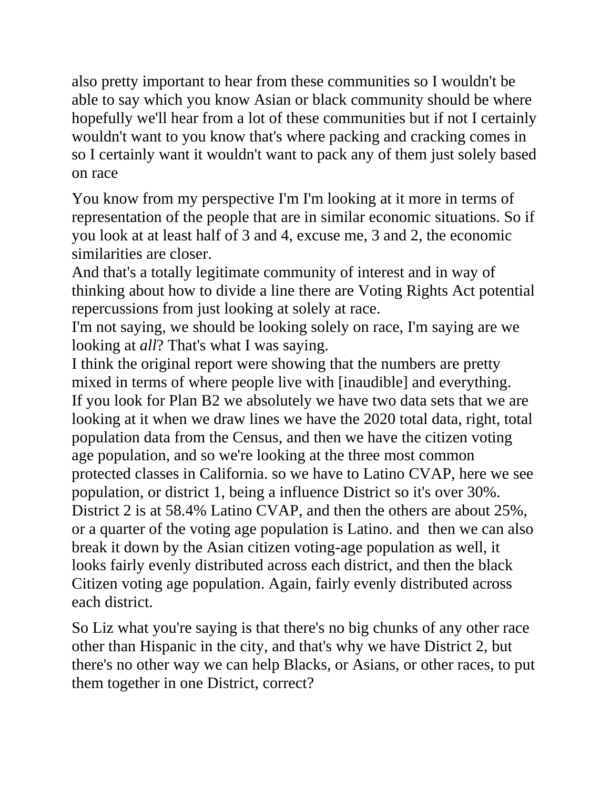also pretty important to hear from these communities so I wouldn't be able to say which you know Asian or black community should be where hopefully we'll hear from a lot of these communities but if not I certainly wouldn't want to you know that's where packing and cracking comes in so I certainly want it wouldn't want to pack any of them just solely based on race

You know from my perspective I'm I'm looking at it more in terms of representation of the people that are in similar economic situations. So if you look at at least half of 3 and 4, excuse me, 3 and 2, the economic similarities are closer.

And that's a totally legitimate community of interest and in way of thinking about how to divide a line there are Voting Rights Act potential repercussions from just looking at solely at race.

I'm not saying, we should be looking solely on race, I'm saying are we looking at *all*? That's what I was saying.

I think the original report were showing that the numbers are pretty mixed in terms of where people live with [inaudible] and everything. If you look for Plan B2 we absolutely we have two data sets that we are looking at it when we draw lines we have the 2020 total data, right, total population data from the Census, and then we have the citizen voting age population, and so we're looking at the three most common protected classes in California. so we have to Latino CVAP, here we see population, or district 1, being a influence District so it's over 30%. District 2 is at 58.4% Latino CVAP, and then the others are about 25%, or a quarter of the voting age population is Latino. and then we can also break it down by the Asian citizen voting-age population as well, it looks fairly evenly distributed across each district, and then the black Citizen voting age population. Again, fairly evenly distributed across each district.

So Liz what you're saying is that there's no big chunks of any other race other than Hispanic in the city, and that's why we have District 2, but there's no other way we can help Blacks, or Asians, or other races, to put them together in one District, correct?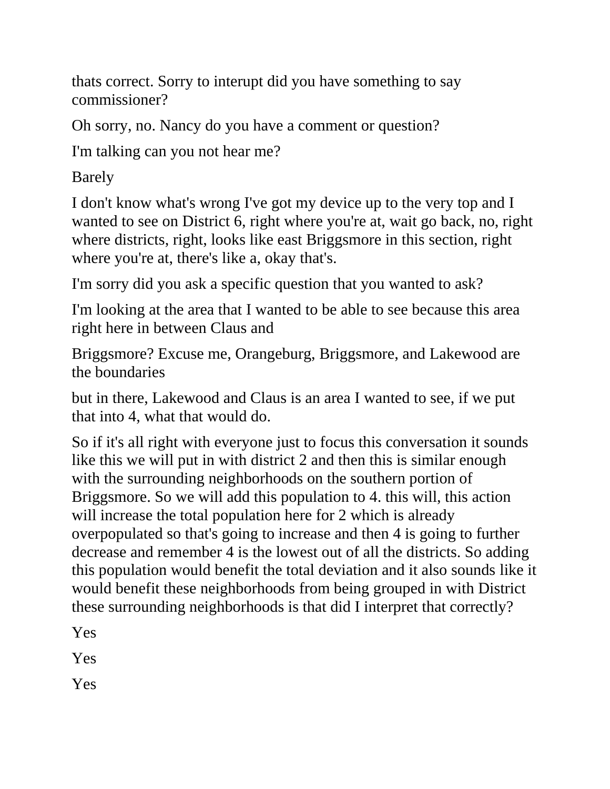thats correct. Sorry to interupt did you have something to say commissioner?

Oh sorry, no. Nancy do you have a comment or question?

I'm talking can you not hear me?

Barely

I don't know what's wrong I've got my device up to the very top and I wanted to see on District 6, right where you're at, wait go back, no, right where districts, right, looks like east Briggsmore in this section, right where you're at, there's like a, okay that's.

I'm sorry did you ask a specific question that you wanted to ask?

I'm looking at the area that I wanted to be able to see because this area right here in between Claus and

Briggsmore? Excuse me, Orangeburg, Briggsmore, and Lakewood are the boundaries

but in there, Lakewood and Claus is an area I wanted to see, if we put that into 4, what that would do.

So if it's all right with everyone just to focus this conversation it sounds like this we will put in with district 2 and then this is similar enough with the surrounding neighborhoods on the southern portion of Briggsmore. So we will add this population to 4. this will, this action will increase the total population here for 2 which is already overpopulated so that's going to increase and then 4 is going to further decrease and remember 4 is the lowest out of all the districts. So adding this population would benefit the total deviation and it also sounds like it would benefit these neighborhoods from being grouped in with District these surrounding neighborhoods is that did I interpret that correctly?

Yes

Yes

Yes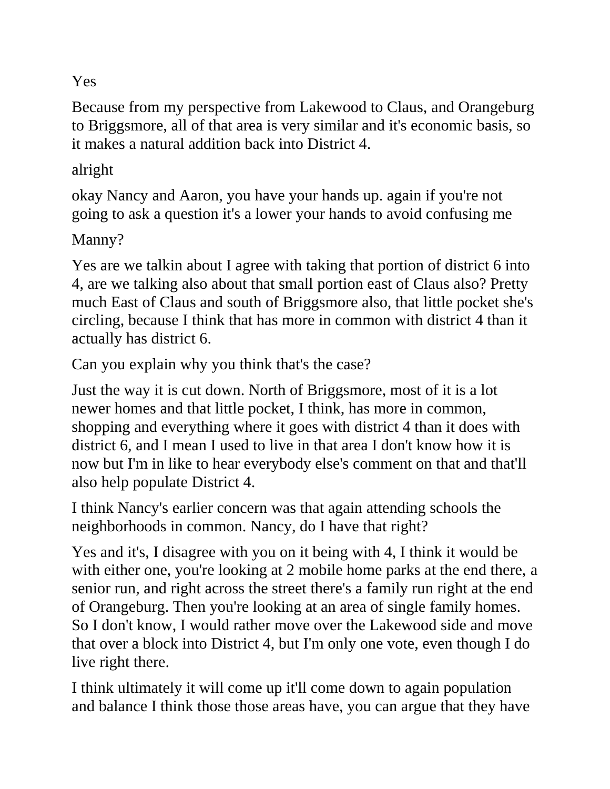## Yes

Because from my perspective from Lakewood to Claus, and Orangeburg to Briggsmore, all of that area is very similar and it's economic basis, so it makes a natural addition back into District 4.

## alright

okay Nancy and Aaron, you have your hands up. again if you're not going to ask a question it's a lower your hands to avoid confusing me

Manny?

Yes are we talkin about I agree with taking that portion of district 6 into 4, are we talking also about that small portion east of Claus also? Pretty much East of Claus and south of Briggsmore also, that little pocket she's circling, because I think that has more in common with district 4 than it actually has district 6.

Can you explain why you think that's the case?

Just the way it is cut down. North of Briggsmore, most of it is a lot newer homes and that little pocket, I think, has more in common, shopping and everything where it goes with district 4 than it does with district 6, and I mean I used to live in that area I don't know how it is now but I'm in like to hear everybody else's comment on that and that'll also help populate District 4.

I think Nancy's earlier concern was that again attending schools the neighborhoods in common. Nancy, do I have that right?

Yes and it's, I disagree with you on it being with 4, I think it would be with either one, you're looking at 2 mobile home parks at the end there, a senior run, and right across the street there's a family run right at the end of Orangeburg. Then you're looking at an area of single family homes. So I don't know, I would rather move over the Lakewood side and move that over a block into District 4, but I'm only one vote, even though I do live right there.

I think ultimately it will come up it'll come down to again population and balance I think those those areas have, you can argue that they have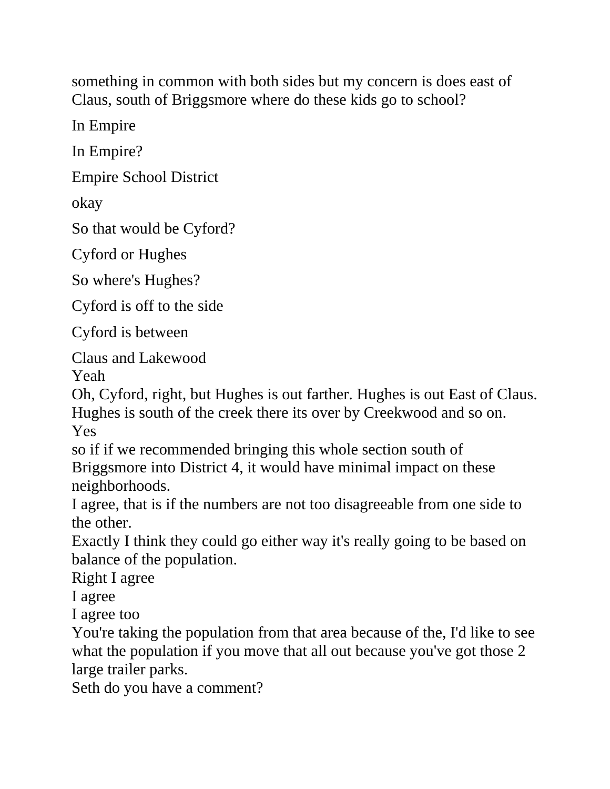something in common with both sides but my concern is does east of Claus, south of Briggsmore where do these kids go to school?

In Empire

In Empire?

Empire School District

okay

So that would be Cyford?

Cyford or Hughes

So where's Hughes?

Cyford is off to the side

Cyford is between

Claus and Lakewood

Yeah

Oh, Cyford, right, but Hughes is out farther. Hughes is out East of Claus. Hughes is south of the creek there its over by Creekwood and so on. Yes

so if if we recommended bringing this whole section south of Briggsmore into District 4, it would have minimal impact on these neighborhoods.

I agree, that is if the numbers are not too disagreeable from one side to the other.

Exactly I think they could go either way it's really going to be based on balance of the population.

Right I agree

I agree

I agree too

You're taking the population from that area because of the, I'd like to see what the population if you move that all out because you've got those 2 large trailer parks.

Seth do you have a comment?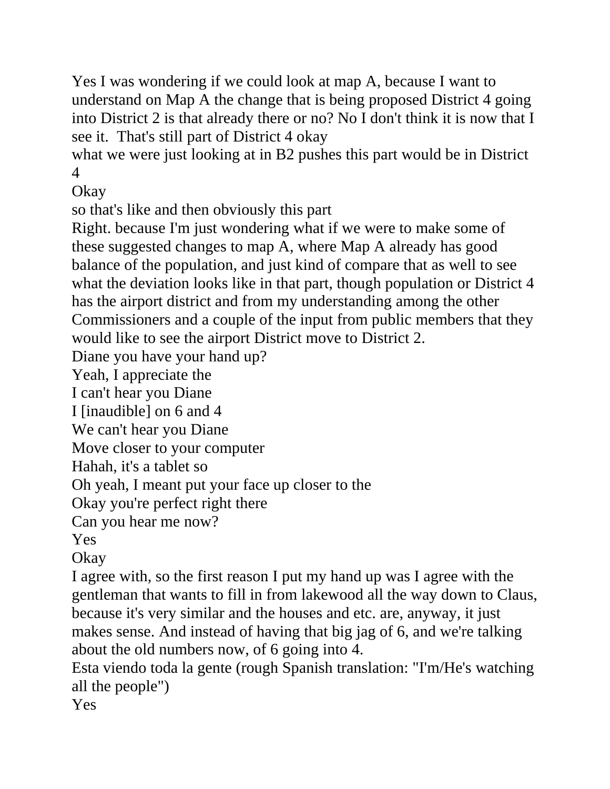Yes I was wondering if we could look at map A, because I want to understand on Map A the change that is being proposed District 4 going into District 2 is that already there or no? No I don't think it is now that I see it. That's still part of District 4 okay

what we were just looking at in B2 pushes this part would be in District 4

Okay

so that's like and then obviously this part

Right. because I'm just wondering what if we were to make some of these suggested changes to map A, where Map A already has good balance of the population, and just kind of compare that as well to see what the deviation looks like in that part, though population or District 4 has the airport district and from my understanding among the other Commissioners and a couple of the input from public members that they would like to see the airport District move to District 2.

Diane you have your hand up?

Yeah, I appreciate the

I can't hear you Diane

I [inaudible] on 6 and 4

We can't hear you Diane

Move closer to your computer

Hahah, it's a tablet so

Oh yeah, I meant put your face up closer to the

Okay you're perfect right there

Can you hear me now?

Yes

Okay

I agree with, so the first reason I put my hand up was I agree with the gentleman that wants to fill in from lakewood all the way down to Claus, because it's very similar and the houses and etc. are, anyway, it just makes sense. And instead of having that big jag of 6, and we're talking about the old numbers now, of 6 going into 4.

Esta viendo toda la gente (rough Spanish translation: "I'm/He's watching all the people")

Yes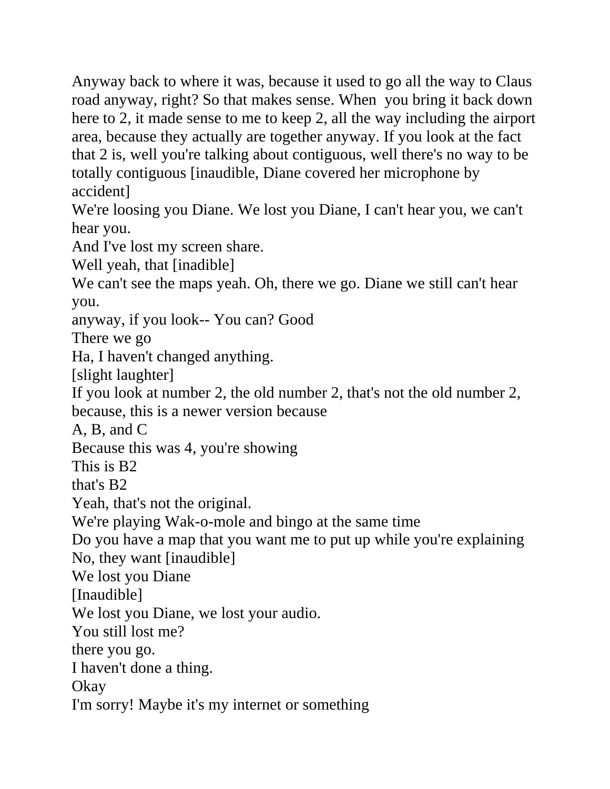Anyway back to where it was, because it used to go all the way to Claus road anyway, right? So that makes sense. When you bring it back down here to 2, it made sense to me to keep 2, all the way including the airport area, because they actually are together anyway. If you look at the fact that 2 is, well you're talking about contiguous, well there's no way to be totally contiguous [inaudible, Diane covered her microphone by accident]

We're loosing you Diane. We lost you Diane, I can't hear you, we can't hear you.

And I've lost my screen share.

Well yeah, that [inadible]

We can't see the maps yeah. Oh, there we go. Diane we still can't hear you.

anyway, if you look-- You can? Good

There we go

Ha, I haven't changed anything.

[slight laughter]

If you look at number 2, the old number 2, that's not the old number 2,

because, this is a newer version because

A, B, and C

Because this was 4, you're showing

This is B2

that's B2

Yeah, that's not the original.

We're playing Wak-o-mole and bingo at the same time

Do you have a map that you want me to put up while you're explaining

No, they want [inaudible]

We lost you Diane

[Inaudible]

We lost you Diane, we lost your audio.

You still lost me?

there you go.

I haven't done a thing.

Okay

I'm sorry! Maybe it's my internet or something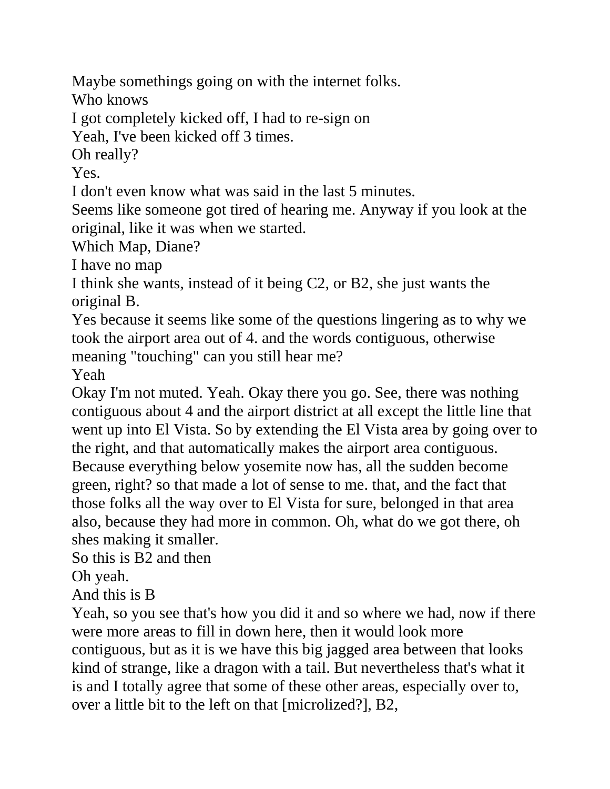Maybe somethings going on with the internet folks.

Who knows

I got completely kicked off, I had to re-sign on

Yeah, I've been kicked off 3 times.

Oh really?

Yes.

I don't even know what was said in the last 5 minutes.

Seems like someone got tired of hearing me. Anyway if you look at the original, like it was when we started.

Which Map, Diane?

I have no map

I think she wants, instead of it being C2, or B2, she just wants the original B.

Yes because it seems like some of the questions lingering as to why we took the airport area out of 4. and the words contiguous, otherwise meaning "touching" can you still hear me?

Yeah

Okay I'm not muted. Yeah. Okay there you go. See, there was nothing contiguous about 4 and the airport district at all except the little line that went up into El Vista. So by extending the El Vista area by going over to the right, and that automatically makes the airport area contiguous. Because everything below yosemite now has, all the sudden become green, right? so that made a lot of sense to me. that, and the fact that those folks all the way over to El Vista for sure, belonged in that area also, because they had more in common. Oh, what do we got there, oh shes making it smaller.

So this is B2 and then

Oh yeah.

And this is B

Yeah, so you see that's how you did it and so where we had, now if there were more areas to fill in down here, then it would look more contiguous, but as it is we have this big jagged area between that looks kind of strange, like a dragon with a tail. But nevertheless that's what it is and I totally agree that some of these other areas, especially over to, over a little bit to the left on that [microlized?], B2,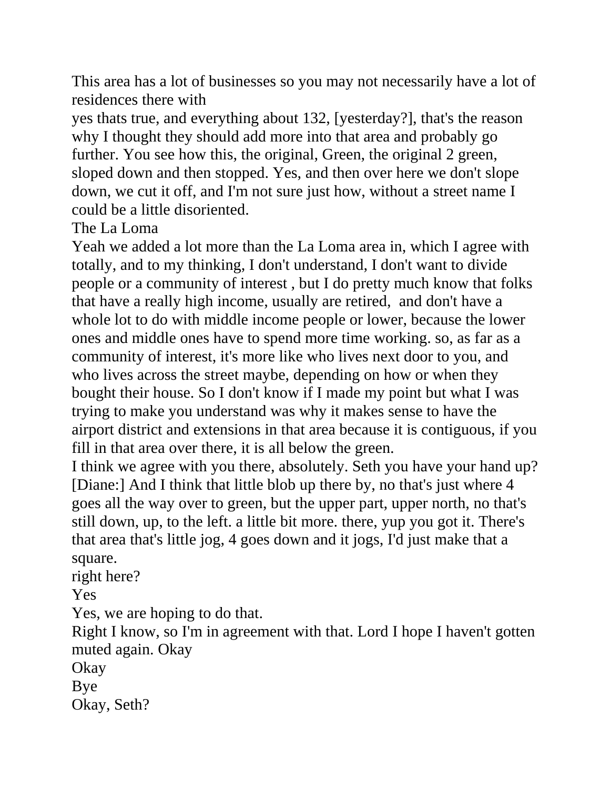This area has a lot of businesses so you may not necessarily have a lot of residences there with

yes thats true, and everything about 132, [yesterday?], that's the reason why I thought they should add more into that area and probably go further. You see how this, the original, Green, the original 2 green, sloped down and then stopped. Yes, and then over here we don't slope down, we cut it off, and I'm not sure just how, without a street name I could be a little disoriented.

The La Loma

Yeah we added a lot more than the La Loma area in, which I agree with totally, and to my thinking, I don't understand, I don't want to divide people or a community of interest , but I do pretty much know that folks that have a really high income, usually are retired, and don't have a whole lot to do with middle income people or lower, because the lower ones and middle ones have to spend more time working. so, as far as a community of interest, it's more like who lives next door to you, and who lives across the street maybe, depending on how or when they bought their house. So I don't know if I made my point but what I was trying to make you understand was why it makes sense to have the airport district and extensions in that area because it is contiguous, if you fill in that area over there, it is all below the green.

I think we agree with you there, absolutely. Seth you have your hand up? [Diane:] And I think that little blob up there by, no that's just where 4 goes all the way over to green, but the upper part, upper north, no that's still down, up, to the left. a little bit more. there, yup you got it. There's that area that's little jog, 4 goes down and it jogs, I'd just make that a square.

right here?

Yes

Yes, we are hoping to do that.

Right I know, so I'm in agreement with that. Lord I hope I haven't gotten muted again. Okay

Okay

Bye

Okay, Seth?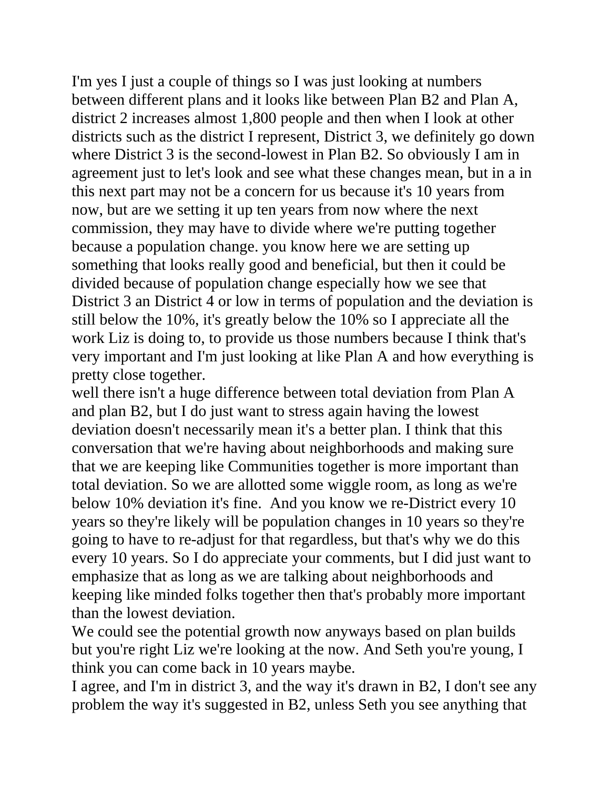I'm yes I just a couple of things so I was just looking at numbers between different plans and it looks like between Plan B2 and Plan A, district 2 increases almost 1,800 people and then when I look at other districts such as the district I represent, District 3, we definitely go down where District 3 is the second-lowest in Plan B2. So obviously I am in agreement just to let's look and see what these changes mean, but in a in this next part may not be a concern for us because it's 10 years from now, but are we setting it up ten years from now where the next commission, they may have to divide where we're putting together because a population change. you know here we are setting up something that looks really good and beneficial, but then it could be divided because of population change especially how we see that District 3 an District 4 or low in terms of population and the deviation is still below the 10%, it's greatly below the 10% so I appreciate all the work Liz is doing to, to provide us those numbers because I think that's very important and I'm just looking at like Plan A and how everything is pretty close together.

well there isn't a huge difference between total deviation from Plan A and plan B2, but I do just want to stress again having the lowest deviation doesn't necessarily mean it's a better plan. I think that this conversation that we're having about neighborhoods and making sure that we are keeping like Communities together is more important than total deviation. So we are allotted some wiggle room, as long as we're below 10% deviation it's fine. And you know we re-District every 10 years so they're likely will be population changes in 10 years so they're going to have to re-adjust for that regardless, but that's why we do this every 10 years. So I do appreciate your comments, but I did just want to emphasize that as long as we are talking about neighborhoods and keeping like minded folks together then that's probably more important than the lowest deviation.

We could see the potential growth now anyways based on plan builds but you're right Liz we're looking at the now. And Seth you're young, I think you can come back in 10 years maybe.

I agree, and I'm in district 3, and the way it's drawn in B2, I don't see any problem the way it's suggested in B2, unless Seth you see anything that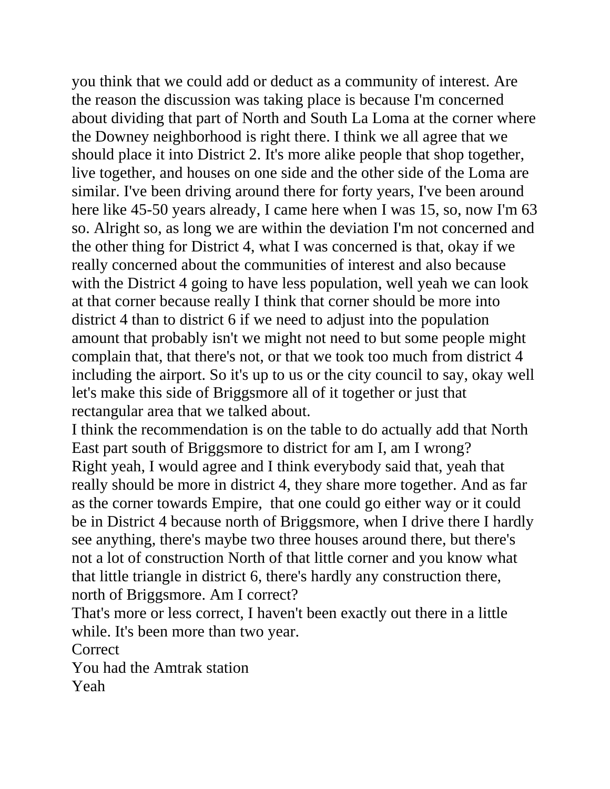you think that we could add or deduct as a community of interest. Are the reason the discussion was taking place is because I'm concerned about dividing that part of North and South La Loma at the corner where the Downey neighborhood is right there. I think we all agree that we should place it into District 2. It's more alike people that shop together, live together, and houses on one side and the other side of the Loma are similar. I've been driving around there for forty years, I've been around here like 45-50 years already, I came here when I was 15, so, now I'm 63 so. Alright so, as long we are within the deviation I'm not concerned and the other thing for District 4, what I was concerned is that, okay if we really concerned about the communities of interest and also because with the District 4 going to have less population, well yeah we can look at that corner because really I think that corner should be more into district 4 than to district 6 if we need to adjust into the population amount that probably isn't we might not need to but some people might complain that, that there's not, or that we took too much from district 4 including the airport. So it's up to us or the city council to say, okay well let's make this side of Briggsmore all of it together or just that rectangular area that we talked about.

I think the recommendation is on the table to do actually add that North East part south of Briggsmore to district for am I, am I wrong? Right yeah, I would agree and I think everybody said that, yeah that really should be more in district 4, they share more together. And as far as the corner towards Empire, that one could go either way or it could be in District 4 because north of Briggsmore, when I drive there I hardly see anything, there's maybe two three houses around there, but there's not a lot of construction North of that little corner and you know what that little triangle in district 6, there's hardly any construction there, north of Briggsmore. Am I correct?

That's more or less correct, I haven't been exactly out there in a little while. It's been more than two year.

Correct

You had the Amtrak station Yeah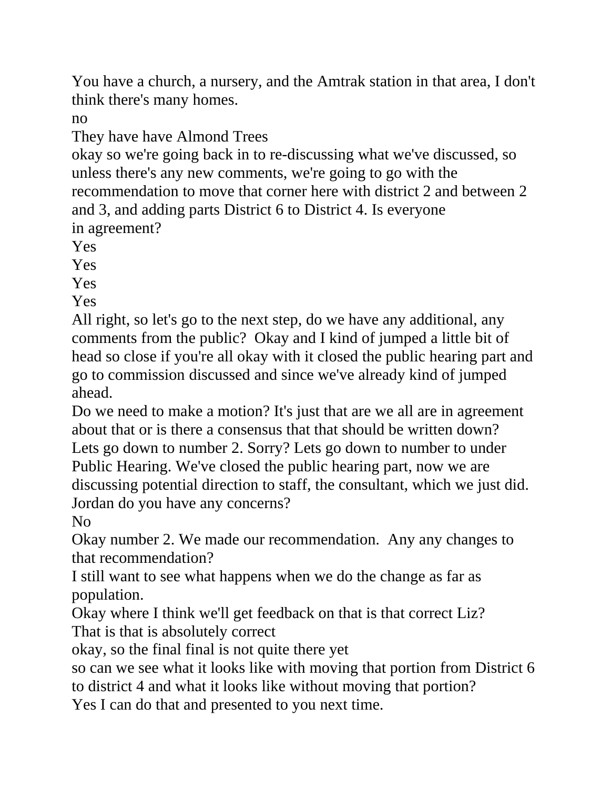You have a church, a nursery, and the Amtrak station in that area, I don't think there's many homes.

no

They have have Almond Trees

okay so we're going back in to re-discussing what we've discussed, so unless there's any new comments, we're going to go with the recommendation to move that corner here with district 2 and between 2 and 3, and adding parts District 6 to District 4. Is everyone in agreement?

Yes

Yes

Yes

Yes

All right, so let's go to the next step, do we have any additional, any comments from the public? Okay and I kind of jumped a little bit of head so close if you're all okay with it closed the public hearing part and go to commission discussed and since we've already kind of jumped ahead.

Do we need to make a motion? It's just that are we all are in agreement about that or is there a consensus that that should be written down? Lets go down to number 2. Sorry? Lets go down to number to under Public Hearing. We've closed the public hearing part, now we are discussing potential direction to staff, the consultant, which we just did. Jordan do you have any concerns?

No

Okay number 2. We made our recommendation. Any any changes to that recommendation?

I still want to see what happens when we do the change as far as population.

Okay where I think we'll get feedback on that is that correct Liz? That is that is absolutely correct

okay, so the final final is not quite there yet

so can we see what it looks like with moving that portion from District 6 to district 4 and what it looks like without moving that portion?

Yes I can do that and presented to you next time.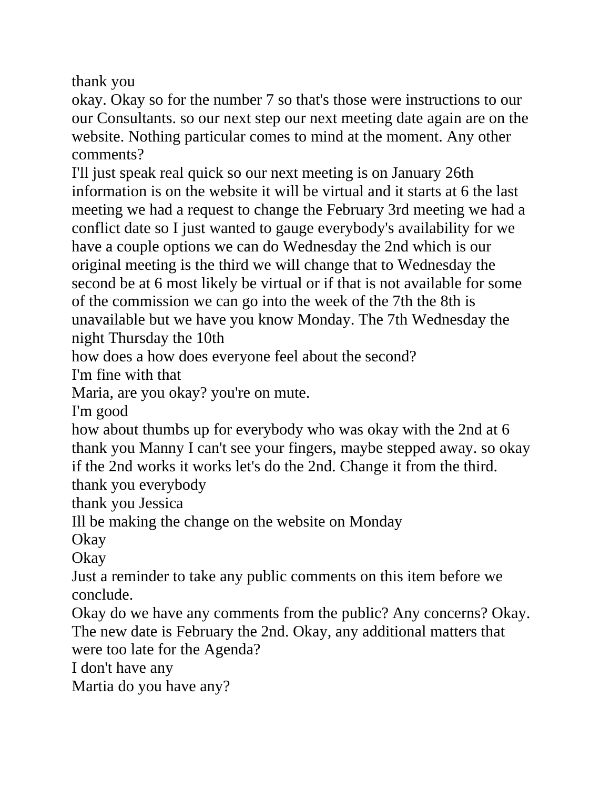thank you

okay. Okay so for the number 7 so that's those were instructions to our our Consultants. so our next step our next meeting date again are on the website. Nothing particular comes to mind at the moment. Any other comments?

I'll just speak real quick so our next meeting is on January 26th information is on the website it will be virtual and it starts at 6 the last meeting we had a request to change the February 3rd meeting we had a conflict date so I just wanted to gauge everybody's availability for we have a couple options we can do Wednesday the 2nd which is our original meeting is the third we will change that to Wednesday the second be at 6 most likely be virtual or if that is not available for some of the commission we can go into the week of the 7th the 8th is unavailable but we have you know Monday. The 7th Wednesday the night Thursday the 10th

how does a how does everyone feel about the second?

I'm fine with that

Maria, are you okay? you're on mute.

I'm good

how about thumbs up for everybody who was okay with the 2nd at 6 thank you Manny I can't see your fingers, maybe stepped away. so okay if the 2nd works it works let's do the 2nd. Change it from the third.

thank you everybody

thank you Jessica

Ill be making the change on the website on Monday

Okay

Okay

Just a reminder to take any public comments on this item before we conclude.

Okay do we have any comments from the public? Any concerns? Okay. The new date is February the 2nd. Okay, any additional matters that were too late for the Agenda?

I don't have any

Martia do you have any?